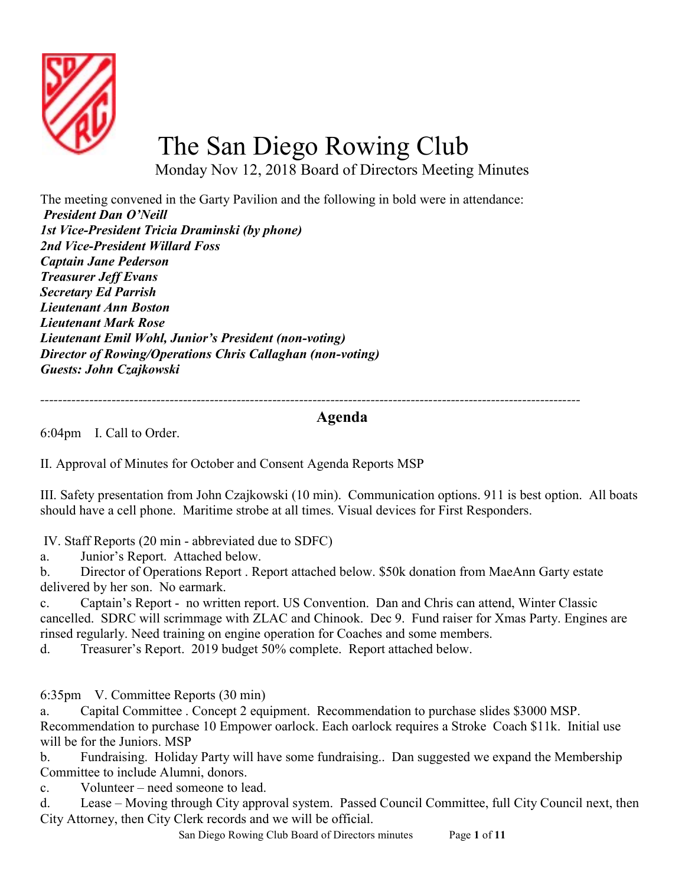

## The San Diego Rowing Club

Monday Nov 12, 2018 Board of Directors Meeting Minutes

The meeting convened in the Garty Pavilion and the following in bold were in attendance: President Dan O'Neill 1st Vice-President Tricia Draminski (by phone) 2nd Vice-President Willard Foss Captain Jane Pederson Treasurer Jeff Evans Secretary Ed Parrish Lieutenant Ann Boston Lieutenant Mark Rose Lieutenant Emil Wohl, Junior's President (non-voting) Director of Rowing/Operations Chris Callaghan (non-voting) Guests: John Czajkowski

-------------------------------------------------------------------------------------------------------------------------

## Agenda

6:04pm I. Call to Order.

II. Approval of Minutes for October and Consent Agenda Reports MSP

III. Safety presentation from John Czajkowski (10 min). Communication options. 911 is best option. All boats should have a cell phone. Maritime strobe at all times. Visual devices for First Responders.

IV. Staff Reports (20 min - abbreviated due to SDFC)

a. Junior's Report. Attached below.

b. Director of Operations Report . Report attached below. \$50k donation from MaeAnn Garty estate delivered by her son. No earmark.

c. Captain's Report - no written report. US Convention. Dan and Chris can attend, Winter Classic cancelled. SDRC will scrimmage with ZLAC and Chinook. Dec 9. Fund raiser for Xmas Party. Engines are rinsed regularly. Need training on engine operation for Coaches and some members.

d. Treasurer's Report. 2019 budget 50% complete. Report attached below.

6:35pm V. Committee Reports (30 min)

a. Capital Committee . Concept 2 equipment. Recommendation to purchase slides \$3000 MSP. Recommendation to purchase 10 Empower oarlock. Each oarlock requires a Stroke Coach \$11k. Initial use will be for the Juniors. MSP

b. Fundraising. Holiday Party will have some fundraising.. Dan suggested we expand the Membership Committee to include Alumni, donors.

c. Volunteer – need someone to lead.

d. Lease – Moving through City approval system. Passed Council Committee, full City Council next, then City Attorney, then City Clerk records and we will be official.

San Diego Rowing Club Board of Directors minutes Page 1 of 11